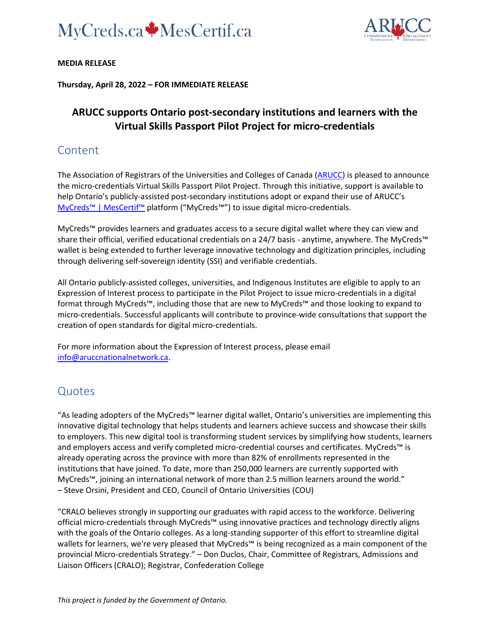



#### **MEDIA RELEASE**

**Thursday, April 28, 2022 – FOR IMMEDIATE RELEASE**

## **ARUCC supports Ontario post-secondary institutions and learners with the Virtual Skills Passport Pilot Project for micro-credentials**

## Content

The Association of Registrars of the Universities and Colleges of Canada [\(ARUCC\)](https://arucc.ca/en/) is pleased to announce the micro-credentials Virtual Skills Passport Pilot Project. Through this initiative, support is available to help Ontario's publicly-assisted post-secondary institutions adopt or expand their use of ARUCC's [MyCreds™ | MesCertif™](https://mycreds.ca/) platform ("MyCreds™") to issue digital micro-credentials.

MyCreds™ provides learners and graduates access to a secure digital wallet where they can view and share their official, verified educational credentials on a 24/7 basis - anytime, anywhere. The MyCreds™ wallet is being extended to further leverage innovative technology and digitization principles, including through delivering self-sovereign identity (SSI) and verifiable credentials.

All Ontario publicly-assisted colleges, universities, and Indigenous Institutes are eligible to apply to an Expression of Interest process to participate in the Pilot Project to issue micro-credentials in a digital format through MyCreds™, including those that are new to MyCreds™ and those looking to expand to micro-credentials. Successful applicants will contribute to province-wide consultations that support the creation of open standards for digital micro-credentials.

For more information about the Expression of Interest process, please email [info@aruccnationalnetwork.ca.](mailto:info@aruccnationalnetwork.ca)

### **Quotes**

"As leading adopters of the MyCreds™ learner digital wallet, Ontario's universities are implementing this innovative digital technology that helps students and learners achieve success and showcase their skills to employers. This new digital tool is transforming student services by simplifying how students, learners and employers access and verify completed micro-credential courses and certificates. MyCreds™ is already operating across the province with more than 82% of enrollments represented in the institutions that have joined. To date, more than 250,000 learners are currently supported with MyCreds™, joining an international network of more than 2.5 million learners around the world." – Steve Orsini, President and CEO, Council of Ontario Universities (COU)

"CRALO believes strongly in supporting our graduates with rapid access to the workforce. Delivering official micro-credentials through MyCreds™ using innovative practices and technology directly aligns with the goals of the Ontario colleges. As a long-standing supporter of this effort to streamline digital wallets for learners, we're very pleased that MyCreds™ is being recognized as a main component of the provincial Micro-credentials Strategy." – Don Duclos, Chair, Committee of Registrars, Admissions and Liaison Officers (CRALO); Registrar, Confederation College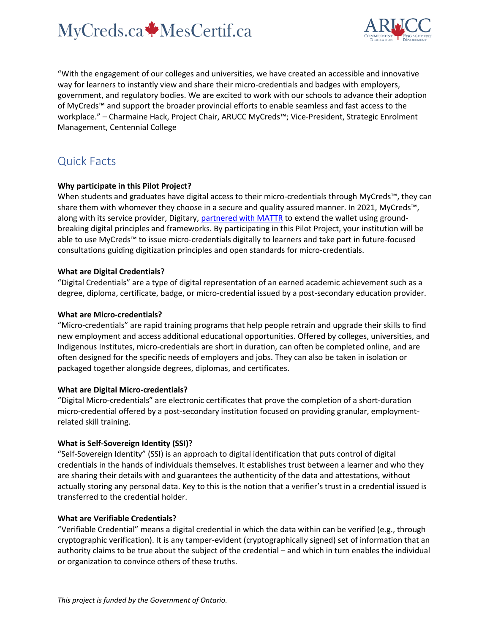# MyCreds.ca MesCertif.ca



"With the engagement of our colleges and universities, we have created an accessible and innovative way for learners to instantly view and share their micro-credentials and badges with employers, government, and regulatory bodies. We are excited to work with our schools to advance their adoption of MyCreds™ and support the broader provincial efforts to enable seamless and fast access to the workplace." – Charmaine Hack, Project Chair, ARUCC MyCreds™; Vice-President, Strategic Enrolment Management, Centennial College

# Quick Facts

#### **Why participate in this Pilot Project?**

When students and graduates have digital access to their micro-credentials through MyCreds™, they can share them with whomever they choose in a secure and quality assured manner. In 2021, MyCreds™, along with its service provider, Digitary, partnered [with MATTR](https://mycreds.ca/2021/04/14/bridging-today-and-tomorrow-ensuring-self-sovereignty-for-learners-through-aruccs-mycreds/) to extend the wallet using groundbreaking digital principles and frameworks. By participating in this Pilot Project, your institution will be able to use MyCreds™ to issue micro-credentials digitally to learners and take part in future-focused consultations guiding digitization principles and open standards for micro-credentials.

#### **What are Digital Credentials?**

"Digital Credentials" are a type of digital representation of an earned academic achievement such as a degree, diploma, certificate, badge, or micro-credential issued by a post-secondary education provider.

#### **What are Micro-credentials?**

"Micro-credentials" are rapid training programs that help people retrain and upgrade their skills to find new employment and access additional educational opportunities. Offered by colleges, universities, and Indigenous Institutes, micro-credentials are short in duration, can often be completed online, and are often designed for the specific needs of employers and jobs. They can also be taken in isolation or packaged together alongside degrees, diplomas, and certificates.

#### **What are Digital Micro-credentials?**

"Digital Micro-credentials" are electronic certificates that prove the completion of a short-duration micro-credential offered by a post-secondary institution focused on providing granular, employmentrelated skill training.

#### **What is Self-Sovereign Identity (SSI)?**

"Self-Sovereign Identity" (SSI) is an approach to digital identification that puts control of digital credentials in the hands of individuals themselves. It establishes trust between a learner and who they are sharing their details with and guarantees the authenticity of the data and attestations, without actually storing any personal data. Key to this is the notion that a verifier's trust in a credential issued is transferred to the credential holder.

#### **What are Verifiable Credentials?**

"Verifiable Credential" means a digital credential in which the data within can be verified (e.g., through cryptographic verification). It is any tamper-evident (cryptographically signed) set of information that an authority claims to be true about the subject of the credential – and which in turn enables the individual or organization to convince others of these truths.